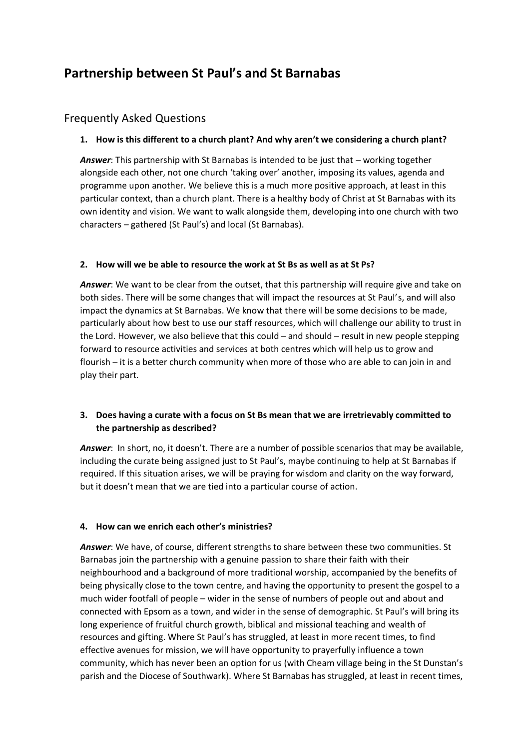# **Partnership between St Paul's and St Barnabas**

# Frequently Asked Questions

#### **1. How is this different to a church plant? And why aren't we considering a church plant?**

*Answer*: This partnership with St Barnabas is intended to be just that – working together alongside each other, not one church 'taking over' another, imposing its values, agenda and programme upon another. We believe this is a much more positive approach, at least in this particular context, than a church plant. There is a healthy body of Christ at St Barnabas with its own identity and vision. We want to walk alongside them, developing into one church with two characters – gathered (St Paul's) and local (St Barnabas).

#### **2. How will we be able to resource the work at St Bs as well as at St Ps?**

*Answer*: We want to be clear from the outset, that this partnership will require give and take on both sides. There will be some changes that will impact the resources at St Paul's, and will also impact the dynamics at St Barnabas. We know that there will be some decisions to be made, particularly about how best to use our staff resources, which will challenge our ability to trust in the Lord. However, we also believe that this could – and should – result in new people stepping forward to resource activities and services at both centres which will help us to grow and flourish – it is a better church community when more of those who are able to can join in and play their part.

## **3. Does having a curate with a focus on St Bs mean that we are irretrievably committed to the partnership as described?**

*Answer*: In short, no, it doesn't. There are a number of possible scenarios that may be available, including the curate being assigned just to St Paul's, maybe continuing to help at St Barnabas if required. If this situation arises, we will be praying for wisdom and clarity on the way forward, but it doesn't mean that we are tied into a particular course of action.

#### **4. How can we enrich each other's ministries?**

*Answer*: We have, of course, different strengths to share between these two communities. St Barnabas join the partnership with a genuine passion to share their faith with their neighbourhood and a background of more traditional worship, accompanied by the benefits of being physically close to the town centre, and having the opportunity to present the gospel to a much wider footfall of people – wider in the sense of numbers of people out and about and connected with Epsom as a town, and wider in the sense of demographic. St Paul's will bring its long experience of fruitful church growth, biblical and missional teaching and wealth of resources and gifting. Where St Paul's has struggled, at least in more recent times, to find effective avenues for mission, we will have opportunity to prayerfully influence a town community, which has never been an option for us (with Cheam village being in the St Dunstan's parish and the Diocese of Southwark). Where St Barnabas has struggled, at least in recent times,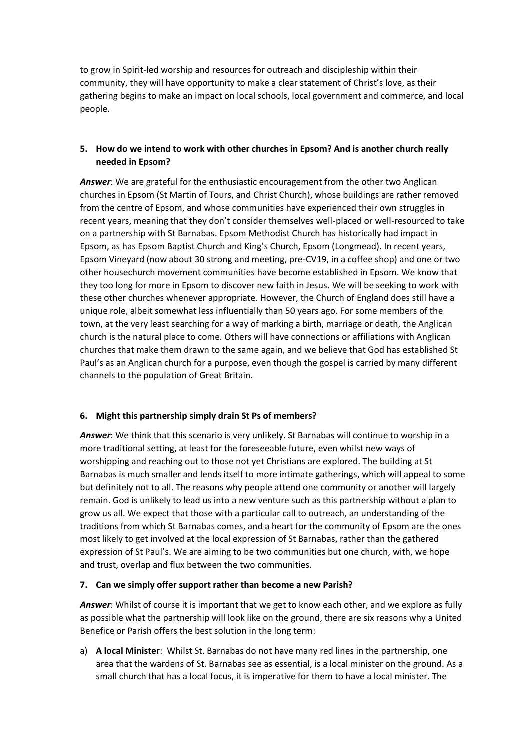to grow in Spirit-led worship and resources for outreach and discipleship within their community, they will have opportunity to make a clear statement of Christ's love, as their gathering begins to make an impact on local schools, local government and commerce, and local people.

## **5. How do we intend to work with other churches in Epsom? And is another church really needed in Epsom?**

*Answer*: We are grateful for the enthusiastic encouragement from the other two Anglican churches in Epsom (St Martin of Tours, and Christ Church), whose buildings are rather removed from the centre of Epsom, and whose communities have experienced their own struggles in recent years, meaning that they don't consider themselves well-placed or well-resourced to take on a partnership with St Barnabas. Epsom Methodist Church has historically had impact in Epsom, as has Epsom Baptist Church and King's Church, Epsom (Longmead). In recent years, Epsom Vineyard (now about 30 strong and meeting, pre-CV19, in a coffee shop) and one or two other housechurch movement communities have become established in Epsom. We know that they too long for more in Epsom to discover new faith in Jesus. We will be seeking to work with these other churches whenever appropriate. However, the Church of England does still have a unique role, albeit somewhat less influentially than 50 years ago. For some members of the town, at the very least searching for a way of marking a birth, marriage or death, the Anglican church is the natural place to come. Others will have connections or affiliations with Anglican churches that make them drawn to the same again, and we believe that God has established St Paul's as an Anglican church for a purpose, even though the gospel is carried by many different channels to the population of Great Britain.

#### **6. Might this partnership simply drain St Ps of members?**

*Answer*: We think that this scenario is very unlikely. St Barnabas will continue to worship in a more traditional setting, at least for the foreseeable future, even whilst new ways of worshipping and reaching out to those not yet Christians are explored. The building at St Barnabas is much smaller and lends itself to more intimate gatherings, which will appeal to some but definitely not to all. The reasons why people attend one community or another will largely remain. God is unlikely to lead us into a new venture such as this partnership without a plan to grow us all. We expect that those with a particular call to outreach, an understanding of the traditions from which St Barnabas comes, and a heart for the community of Epsom are the ones most likely to get involved at the local expression of St Barnabas, rather than the gathered expression of St Paul's. We are aiming to be two communities but one church, with, we hope and trust, overlap and flux between the two communities.

#### **7. Can we simply offer support rather than become a new Parish?**

*Answer*: Whilst of course it is important that we get to know each other, and we explore as fully as possible what the partnership will look like on the ground, there are six reasons why a United Benefice or Parish offers the best solution in the long term:

a) **A local Ministe**r: Whilst St. Barnabas do not have many red lines in the partnership, one area that the wardens of St. Barnabas see as essential, is a local minister on the ground. As a small church that has a local focus, it is imperative for them to have a local minister. The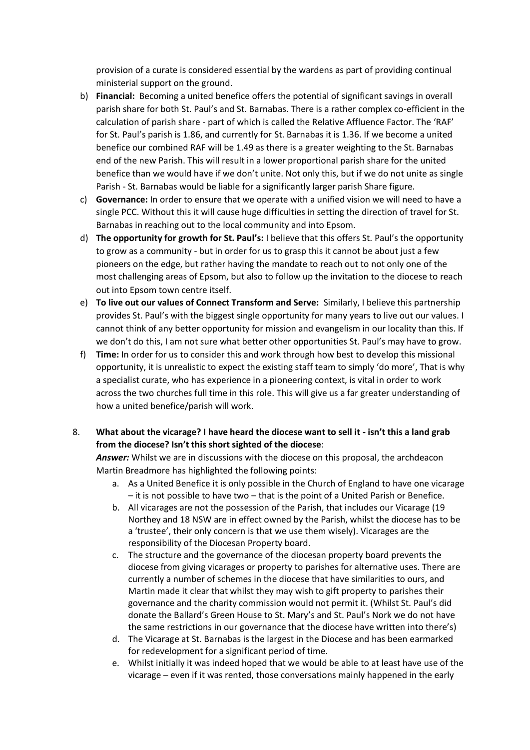provision of a curate is considered essential by the wardens as part of providing continual ministerial support on the ground.

- b) **Financial:** Becoming a united benefice offers the potential of significant savings in overall parish share for both St. Paul's and St. Barnabas. There is a rather complex co-efficient in the calculation of parish share - part of which is called the Relative Affluence Factor. The 'RAF' for St. Paul's parish is 1.86, and currently for St. Barnabas it is 1.36. If we become a united benefice our combined RAF will be 1.49 as there is a greater weighting to the St. Barnabas end of the new Parish. This will result in a lower proportional parish share for the united benefice than we would have if we don't unite. Not only this, but if we do not unite as single Parish - St. Barnabas would be liable for a significantly larger parish Share figure.
- c) **Governance:** In order to ensure that we operate with a unified vision we will need to have a single PCC. Without this it will cause huge difficulties in setting the direction of travel for St. Barnabas in reaching out to the local community and into Epsom.
- d) **The opportunity for growth for St. Paul's:** I believe that this offers St. Paul's the opportunity to grow as a community - but in order for us to grasp this it cannot be about just a few pioneers on the edge, but rather having the mandate to reach out to not only one of the most challenging areas of Epsom, but also to follow up the invitation to the diocese to reach out into Epsom town centre itself.
- e) **To live out our values of Connect Transform and Serve:** Similarly, I believe this partnership provides St. Paul's with the biggest single opportunity for many years to live out our values. I cannot think of any better opportunity for mission and evangelism in our locality than this. If we don't do this, I am not sure what better other opportunities St. Paul's may have to grow.
- f) **Time:** In order for us to consider this and work through how best to develop this missional opportunity, it is unrealistic to expect the existing staff team to simply 'do more', That is why a specialist curate, who has experience in a pioneering context, is vital in order to work across the two churches full time in this role. This will give us a far greater understanding of how a united benefice/parish will work.

## 8. **What about the vicarage? I have heard the diocese want to sell it - isn't this a land grab from the diocese? Isn't this short sighted of the diocese**:

*Answer:* Whilst we are in discussions with the diocese on this proposal, the archdeacon Martin Breadmore has highlighted the following points:

- a. As a United Benefice it is only possible in the Church of England to have one vicarage – it is not possible to have two – that is the point of a United Parish or Benefice.
- b. All vicarages are not the possession of the Parish, that includes our Vicarage (19 Northey and 18 NSW are in effect owned by the Parish, whilst the diocese has to be a 'trustee', their only concern is that we use them wisely). Vicarages are the responsibility of the Diocesan Property board.
- c. The structure and the governance of the diocesan property board prevents the diocese from giving vicarages or property to parishes for alternative uses. There are currently a number of schemes in the diocese that have similarities to ours, and Martin made it clear that whilst they may wish to gift property to parishes their governance and the charity commission would not permit it. (Whilst St. Paul's did donate the Ballard's Green House to St. Mary's and St. Paul's Nork we do not have the same restrictions in our governance that the diocese have written into there's)
- d. The Vicarage at St. Barnabas is the largest in the Diocese and has been earmarked for redevelopment for a significant period of time.
- e. Whilst initially it was indeed hoped that we would be able to at least have use of the vicarage – even if it was rented, those conversations mainly happened in the early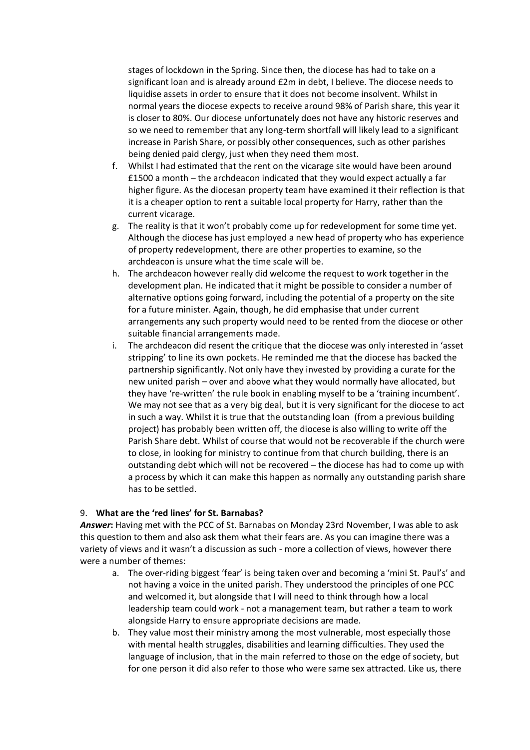stages of lockdown in the Spring. Since then, the diocese has had to take on a significant loan and is already around £2m in debt, I believe. The diocese needs to liquidise assets in order to ensure that it does not become insolvent. Whilst in normal years the diocese expects to receive around 98% of Parish share, this year it is closer to 80%. Our diocese unfortunately does not have any historic reserves and so we need to remember that any long-term shortfall will likely lead to a significant increase in Parish Share, or possibly other consequences, such as other parishes being denied paid clergy, just when they need them most.

- f. Whilst I had estimated that the rent on the vicarage site would have been around £1500 a month – the archdeacon indicated that they would expect actually a far higher figure. As the diocesan property team have examined it their reflection is that it is a cheaper option to rent a suitable local property for Harry, rather than the current vicarage.
- g. The reality is that it won't probably come up for redevelopment for some time yet. Although the diocese has just employed a new head of property who has experience of property redevelopment, there are other properties to examine, so the archdeacon is unsure what the time scale will be.
- h. The archdeacon however really did welcome the request to work together in the development plan. He indicated that it might be possible to consider a number of alternative options going forward, including the potential of a property on the site for a future minister. Again, though, he did emphasise that under current arrangements any such property would need to be rented from the diocese or other suitable financial arrangements made.
- i. The archdeacon did resent the critique that the diocese was only interested in 'asset stripping' to line its own pockets. He reminded me that the diocese has backed the partnership significantly. Not only have they invested by providing a curate for the new united parish – over and above what they would normally have allocated, but they have 're-written' the rule book in enabling myself to be a 'training incumbent'. We may not see that as a very big deal, but it is very significant for the diocese to act in such a way. Whilst it is true that the outstanding loan (from a previous building project) has probably been written off, the diocese is also willing to write off the Parish Share debt. Whilst of course that would not be recoverable if the church were to close, in looking for ministry to continue from that church building, there is an outstanding debt which will not be recovered – the diocese has had to come up with a process by which it can make this happen as normally any outstanding parish share has to be settled.

#### 9. **What are the 'red lines' for St. Barnabas?**

Answer: Having met with the PCC of St. Barnabas on Monday 23rd November, I was able to ask this question to them and also ask them what their fears are. As you can imagine there was a variety of views and it wasn't a discussion as such - more a collection of views, however there were a number of themes:

- a. The over-riding biggest 'fear' is being taken over and becoming a 'mini St. Paul's' and not having a voice in the united parish. They understood the principles of one PCC and welcomed it, but alongside that I will need to think through how a local leadership team could work - not a management team, but rather a team to work alongside Harry to ensure appropriate decisions are made.
- b. They value most their ministry among the most vulnerable, most especially those with mental health struggles, disabilities and learning difficulties. They used the language of inclusion, that in the main referred to those on the edge of society, but for one person it did also refer to those who were same sex attracted. Like us, there